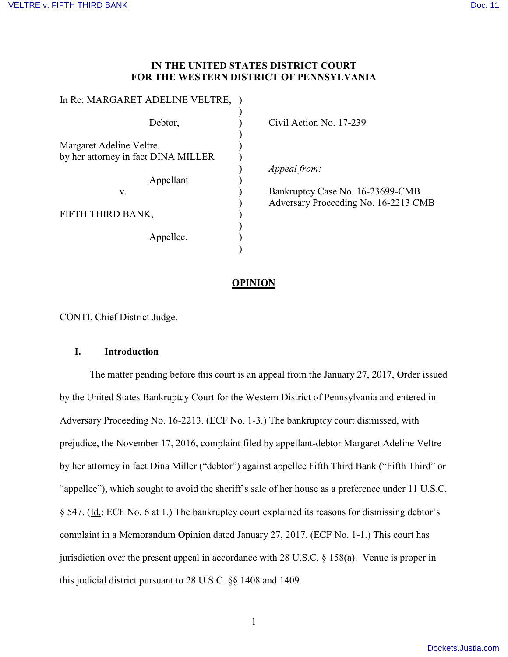## **IN THE UNITED STATES DISTRICT COURT FOR THE WESTERN DISTRICT OF PENNSYLVANIA**

| Э'n |
|-----|
|     |
|     |
|     |
| 1p  |
|     |
| Ba  |
| Ac  |
|     |
|     |
|     |
|     |
|     |

vil Action No. 17-239

peal from:

nkruptcy Case No. 16-23699-CMB lversary Proceeding No. 16-2213 CMB

### **OPINION**

CONTI, Chief District Judge.

### **I. Introduction**

The matter pending before this court is an appeal from the January 27, 2017, Order issued by the United States Bankruptcy Court for the Western District of Pennsylvania and entered in Adversary Proceeding No. 16-2213. (ECF No. 1-3.) The bankruptcy court dismissed, with prejudice, the November 17, 2016, complaint filed by appellant-debtor Margaret Adeline Veltre by her attorney in fact Dina Miller ("debtor") against appellee Fifth Third Bank ("Fifth Third" or "appellee"), which sought to avoid the sheriff's sale of her house as a preference under 11 U.S.C. § 547. (Id.; ECF No. 6 at 1.) The bankruptcy court explained its reasons for dismissing debtor's complaint in a Memorandum Opinion dated January 27, 2017. (ECF No. 1-1.) This court has jurisdiction over the present appeal in accordance with 28 U.S.C. § 158(a). Venue is proper in this judicial district pursuant to 28 U.S.C. §§ 1408 and 1409.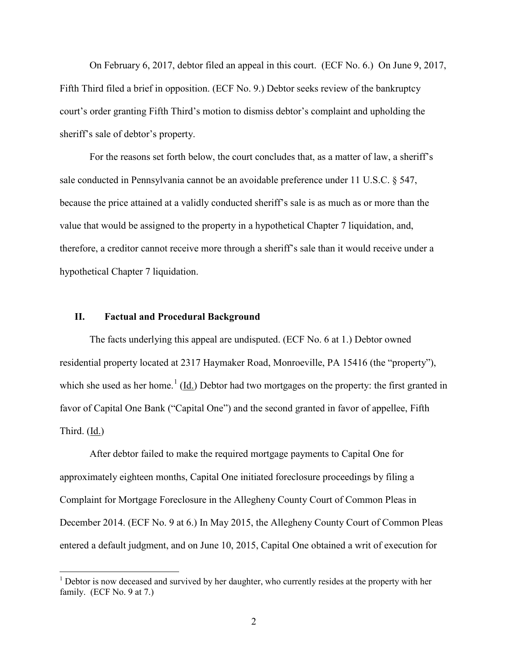On February 6, 2017, debtor filed an appeal in this court. (ECF No. 6.) On June 9, 2017, Fifth Third filed a brief in opposition. (ECF No. 9.) Debtor seeks review of the bankruptcy court's order granting Fifth Third's motion to dismiss debtor's complaint and upholding the sheriff's sale of debtor's property.

For the reasons set forth below, the court concludes that, as a matter of law, a sheriff's sale conducted in Pennsylvania cannot be an avoidable preference under 11 U.S.C. § 547, because the price attained at a validly conducted sheriff's sale is as much as or more than the value that would be assigned to the property in a hypothetical Chapter 7 liquidation, and, therefore, a creditor cannot receive more through a sheriff's sale than it would receive under a hypothetical Chapter 7 liquidation.

## **II. Factual and Procedural Background**

The facts underlying this appeal are undisputed. (ECF No. 6 at 1.) Debtor owned residential property located at 2317 Haymaker Road, Monroeville, PA 15416 (the "property"), which she used as her home.<sup>[1](#page-1-0)</sup> ( $\underline{Id}$ .) Debtor had two mortgages on the property: the first granted in favor of Capital One Bank ("Capital One") and the second granted in favor of appellee, Fifth Third. (Id.)

After debtor failed to make the required mortgage payments to Capital One for approximately eighteen months, Capital One initiated foreclosure proceedings by filing a Complaint for Mortgage Foreclosure in the Allegheny County Court of Common Pleas in December 2014. (ECF No. 9 at 6.) In May 2015, the Allegheny County Court of Common Pleas entered a default judgment, and on June 10, 2015, Capital One obtained a writ of execution for

<span id="page-1-0"></span> $<sup>1</sup>$  Debtor is now deceased and survived by her daughter, who currently resides at the property with her</sup> family. (ECF No. 9 at 7.)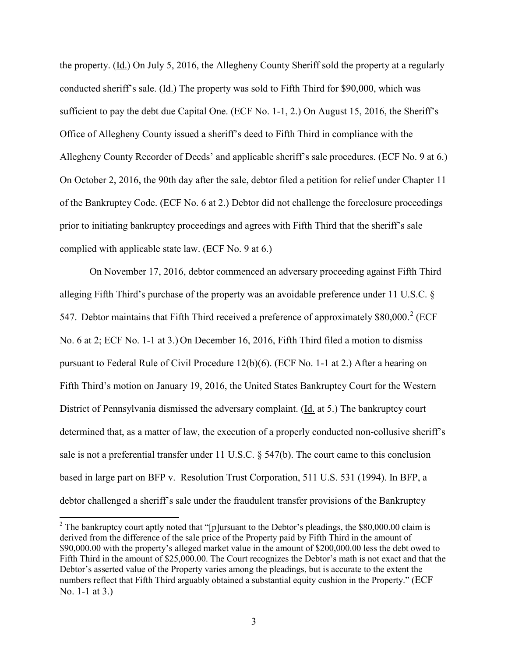the property. (Id.) On July 5, 2016, the Allegheny County Sheriff sold the property at a regularly conducted sheriff's sale. (Id.) The property was sold to Fifth Third for \$90,000, which was sufficient to pay the debt due Capital One. (ECF No. 1-1, 2.) On August 15, 2016, the Sheriff's Office of Allegheny County issued a sheriff's deed to Fifth Third in compliance with the Allegheny County Recorder of Deeds' and applicable sheriff's sale procedures. (ECF No. 9 at 6.) On October 2, 2016, the 90th day after the sale, debtor filed a petition for relief under Chapter 11 of the Bankruptcy Code. (ECF No. 6 at 2.) Debtor did not challenge the foreclosure proceedings prior to initiating bankruptcy proceedings and agrees with Fifth Third that the sheriff's sale complied with applicable state law. (ECF No. 9 at 6.)

On November 17, 2016, debtor commenced an adversary proceeding against Fifth Third alleging Fifth Third's purchase of the property was an avoidable preference under 11 U.S.C. § 547. Debtor maintains that Fifth Third received a preference of approximately  $$80,000$ <sup>[2](#page-2-0)</sup> (ECF No. 6 at 2; ECF No. 1-1 at 3.) On December 16, 2016, Fifth Third filed a motion to dismiss pursuant to Federal Rule of Civil Procedure 12(b)(6). (ECF No. 1-1 at 2.) After a hearing on Fifth Third's motion on January 19, 2016, the United States Bankruptcy Court for the Western District of Pennsylvania dismissed the adversary complaint. (Id. at 5.) The bankruptcy court determined that, as a matter of law, the execution of a properly conducted non-collusive sheriff's sale is not a preferential transfer under 11 U.S.C. § 547(b). The court came to this conclusion based in large part on BFP v. Resolution Trust Corporation, 511 U.S. 531 (1994). In BFP, a debtor challenged a sheriff's sale under the fraudulent transfer provisions of the Bankruptcy

<span id="page-2-0"></span><sup>&</sup>lt;sup>2</sup> The bankruptcy court aptly noted that "[p]ursuant to the Debtor's pleadings, the \$80,000.00 claim is derived from the difference of the sale price of the Property paid by Fifth Third in the amount of \$90,000.00 with the property's alleged market value in the amount of \$200,000.00 less the debt owed to Fifth Third in the amount of \$25,000.00. The Court recognizes the Debtor's math is not exact and that the Debtor's asserted value of the Property varies among the pleadings, but is accurate to the extent the numbers reflect that Fifth Third arguably obtained a substantial equity cushion in the Property." (ECF No. 1-1 at 3.)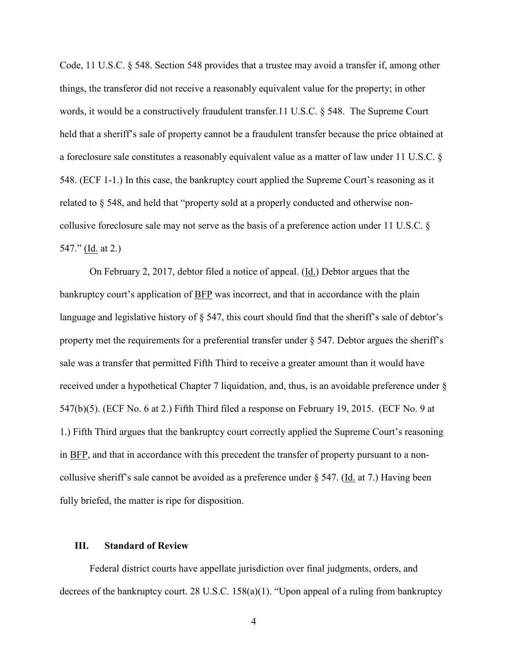Code, 11 U.S.C. § 548. Section 548 provides that a trustee may avoid a transfer if, among other things, the transferor did not receive a reasonably equivalent value for the property; in other words, it would be a constructively fraudulent transfer.11 U.S.C. § 548. The Supreme Court held that a sheriff's sale of property cannot be a fraudulent transfer because the price obtained at a foreclosure sale constitutes a reasonably equivalent value as a matter of law under 11 U.S.C. § 548. (ECF 1-1.) In this case, the bankruptcy court applied the Supreme Court's reasoning as it related to § 548, and held that "property sold at a properly conducted and otherwise noncollusive foreclosure sale may not serve as the basis of a preference action under 11 U.S.C. § 547." (Id. at 2.)

On February 2, 2017, debtor filed a notice of appeal. (Id.) Debtor argues that the bankruptcy court's application of BFP was incorrect, and that in accordance with the plain language and legislative history of § 547, this court should find that the sheriff's sale of debtor's property met the requirements for a preferential transfer under § 547. Debtor argues the sheriff's sale was a transfer that permitted Fifth Third to receive a greater amount than it would have received under a hypothetical Chapter 7 liquidation, and, thus, is an avoidable preference under § 547(b)(5). (ECF No. 6 at 2.) Fifth Third filed a response on February 19, 2015. (ECF No. 9 at 1.) Fifth Third argues that the bankruptcy court correctly applied the Supreme Court's reasoning in BFP, and that in accordance with this precedent the transfer of property pursuant to a noncollusive sheriff's sale cannot be avoided as a preference under  $\S$  547. (Id. at 7.) Having been fully briefed, the matter is ripe for disposition.

#### **III. Standard of Review**

Federal district courts have appellate jurisdiction over final judgments, orders, and decrees of the bankruptcy court. 28 U.S.C. 158(a)(1). "Upon appeal of a ruling from bankruptcy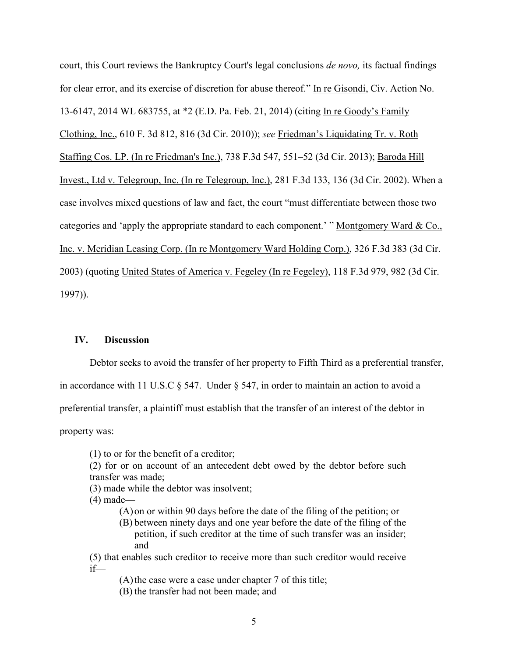court, this Court reviews the Bankruptcy Court's legal conclusions *de novo,* its factual findings for clear error, and its exercise of discretion for abuse thereof." In re Gisondi, Civ. Action No. 13-6147, 2014 WL 683755, at \*2 (E.D. Pa. Feb. 21, 2014) (citing In re Goody's Family Clothing, Inc., 610 F. 3d 812, 816 (3d Cir. 2010)); *see* Friedman's Liquidating Tr. v. Roth Staffing Cos. LP. (In re Friedman's Inc.), 738 F.3d 547, 551–52 (3d Cir. 2013); Baroda Hill Invest., Ltd v. Telegroup, Inc. (In re Telegroup, Inc.), 281 F.3d 133, 136 (3d Cir. 2002). When a case involves mixed questions of law and fact, the court "must differentiate between those two categories and 'apply the appropriate standard to each component.' " Montgomery Ward & Co., Inc. v. Meridian Leasing Corp. (In re Montgomery Ward Holding Corp.), 326 F.3d 383 (3d Cir. 2003) (quoting United States of America v. Fegeley (In re Fegeley), 118 F.3d 979, 982 (3d Cir. 1997)).

## **IV. Discussion**

Debtor seeks to avoid the transfer of her property to Fifth Third as a preferential transfer,

in accordance with 11 U.S.C § 547. Under § 547, in order to maintain an action to avoid a

preferential transfer, a plaintiff must establish that the transfer of an interest of the debtor in

property was:

(1) to or for the benefit of a creditor;

- (2) for or on account of an antecedent debt owed by the debtor before such transfer was made;
- (3) made while the debtor was insolvent;
- (4) made—
	- (A)on or within 90 days before the date of the filing of the petition; or
	- (B) between ninety days and one year before the date of the filing of the petition, if such creditor at the time of such transfer was an insider; and

(5) that enables such creditor to receive more than such creditor would receive if—

 $(A)$  the case were a case under chapter 7 of this title;

(B) the transfer had not been made; and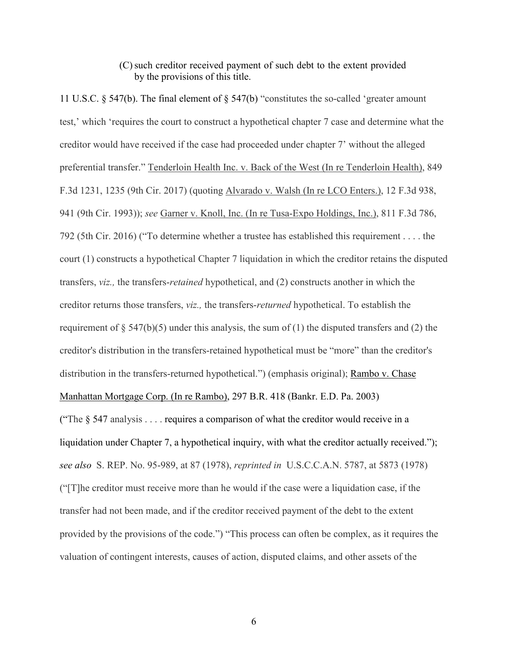# (C)such creditor received payment of such debt to the extent provided by the provisions of this title.

11 U.S.C. § 547(b). The final element of § 547(b) "constitutes the so-called 'greater amount test,' which 'requires the court to construct a hypothetical chapter 7 case and determine what the creditor would have received if the case had proceeded under chapter 7' without the alleged preferential transfer." Tenderloin Health Inc. v. Back of the West (In re Tenderloin Health), 849 F.3d 1231, 1235 (9th Cir. 2017) (quoting Alvarado v. Walsh (In re LCO Enters.), 12 F.3d 938, 941 (9th Cir. 1993)); *see* Garner v. Knoll, Inc. (In re Tusa-Expo Holdings, Inc.), 811 F.3d 786, 792 (5th Cir. 2016) ("To determine whether a trustee has established this requirement . . . . the court (1) constructs a hypothetical Chapter 7 liquidation in which the creditor retains the disputed transfers, *viz.,* the transfers-*retained* hypothetical, and (2) constructs another in which the creditor returns those transfers, *viz.,* the transfers-*returned* hypothetical. To establish the requirement of  $\S 547(b)(5)$  under this analysis, the sum of (1) the disputed transfers and (2) the creditor's distribution in the transfers-retained hypothetical must be "more" than the creditor's distribution in the transfers-returned hypothetical.") (emphasis original); Rambo v. Chase Manhattan Mortgage Corp. (In re Rambo), 297 B.R. 418 (Bankr. E.D. Pa. 2003)

("The  $\S$  547 analysis . . . . requires a comparison of what the creditor would receive in a liquidation under Chapter 7, a hypothetical inquiry, with what the creditor actually received."); *see also* S. REP. No. 95-989, at 87 (1978), *reprinted in* U.S.C.C.A.N. 5787, at 5873 (1978) ("[T]he creditor must receive more than he would if the case were a liquidation case, if the transfer had not been made, and if the creditor received payment of the debt to the extent provided by the provisions of the code.") "This process can often be complex, as it requires the valuation of contingent interests, causes of action, disputed claims, and other assets of the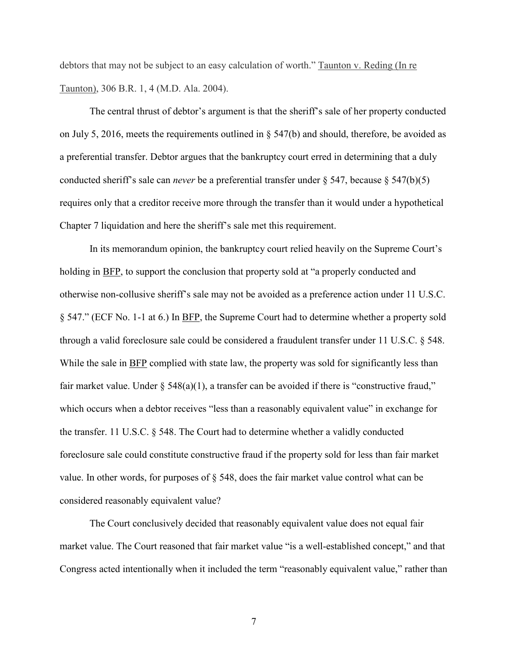debtors that may not be subject to an easy calculation of worth." Taunton v. Reding (In re Taunton), 306 B.R. 1, 4 (M.D. Ala. 2004).

The central thrust of debtor's argument is that the sheriff's sale of her property conducted on July 5, 2016, meets the requirements outlined in  $\S$  547(b) and should, therefore, be avoided as a preferential transfer. Debtor argues that the bankruptcy court erred in determining that a duly conducted sheriff's sale can *never* be a preferential transfer under § 547, because § 547(b)(5) requires only that a creditor receive more through the transfer than it would under a hypothetical Chapter 7 liquidation and here the sheriff's sale met this requirement.

In its memorandum opinion, the bankruptcy court relied heavily on the Supreme Court's holding in BFP, to support the conclusion that property sold at "a properly conducted and otherwise non-collusive sheriff's sale may not be avoided as a preference action under 11 U.S.C. § 547." (ECF No. 1-1 at 6.) In BFP, the Supreme Court had to determine whether a property sold through a valid foreclosure sale could be considered a fraudulent transfer under 11 U.S.C. § 548. While the sale in BFP complied with state law, the property was sold for significantly less than fair market value. Under  $\S$  548(a)(1), a transfer can be avoided if there is "constructive fraud," which occurs when a debtor receives "less than a reasonably equivalent value" in exchange for the transfer. 11 U.S.C. § 548. The Court had to determine whether a validly conducted foreclosure sale could constitute constructive fraud if the property sold for less than fair market value. In other words, for purposes of § 548, does the fair market value control what can be considered reasonably equivalent value?

The Court conclusively decided that reasonably equivalent value does not equal fair market value. The Court reasoned that fair market value "is a well-established concept," and that Congress acted intentionally when it included the term "reasonably equivalent value," rather than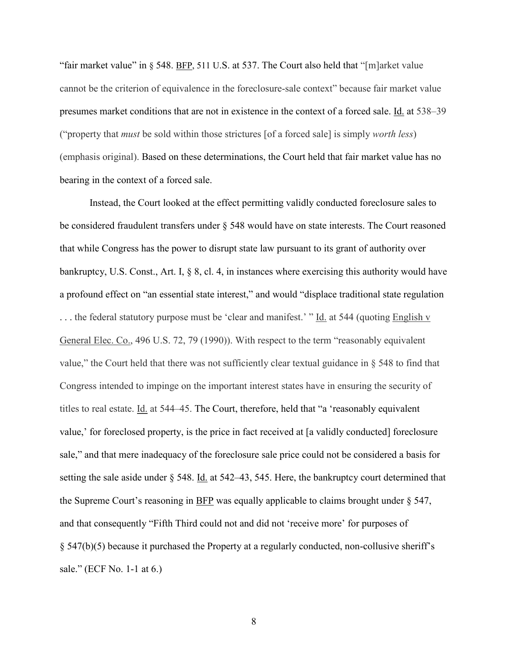"fair market value" in § 548. BFP, 511 U.S. at 537. The Court also held that "[m]arket value cannot be the criterion of equivalence in the foreclosure-sale context" because fair market value presumes market conditions that are not in existence in the context of a forced sale. Id. at 538–39 ("property that *must* be sold within those strictures [of a forced sale] is simply *worth less*) (emphasis original). Based on these determinations, the Court held that fair market value has no bearing in the context of a forced sale.

Instead, the Court looked at the effect permitting validly conducted foreclosure sales to be considered fraudulent transfers under § 548 would have on state interests. The Court reasoned that while Congress has the power to disrupt state law pursuant to its grant of authority over bankruptcy, U.S. Const., Art. I, § 8, cl. 4, in instances where exercising this authority would have a profound effect on "an essential state interest," and would "displace traditional state regulation ... the federal statutory purpose must be 'clear and manifest.' " Id. at 544 (quoting English v General Elec. Co., 496 U.S. 72, 79 (1990)). With respect to the term "reasonably equivalent value," the Court held that there was not sufficiently clear textual guidance in § 548 to find that Congress intended to impinge on the important interest states have in ensuring the security of titles to real estate. Id. at 544–45. The Court, therefore, held that "a 'reasonably equivalent value,' for foreclosed property, is the price in fact received at [a validly conducted] foreclosure sale," and that mere inadequacy of the foreclosure sale price could not be considered a basis for setting the sale aside under  $\S$  548. Id. at 542–43, 545. Here, the bankruptcy court determined that the Supreme Court's reasoning in BFP was equally applicable to claims brought under § 547, and that consequently "Fifth Third could not and did not 'receive more' for purposes of § 547(b)(5) because it purchased the Property at a regularly conducted, non-collusive sheriff's sale." (ECF No. 1-1 at 6.)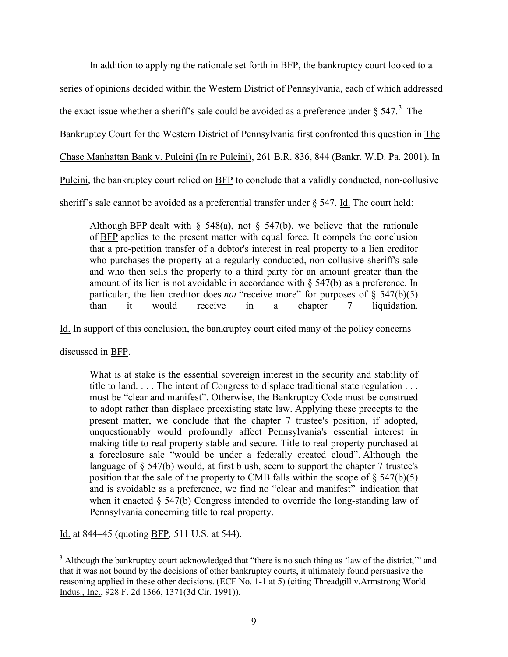In addition to applying the rationale set forth in BFP, the bankruptcy court looked to a series of opinions decided within the Western District of Pennsylvania, each of which addressed the exact issue whether a sheriff's sale could be avoided as a preference under  $\S 547$ .<sup>[3](#page-8-0)</sup> The Bankruptcy Court for the Western District of Pennsylvania first confronted this question in The Chase Manhattan Bank v. Pulcini (In re Pulcini), 261 B.R. 836, 844 (Bankr. W.D. Pa. 2001). In Pulcini, the bankruptcy court relied on BFP to conclude that a validly conducted, non-collusive sheriff's sale cannot be avoided as a preferential transfer under § 547. Id. The court held:

Although **BFP** dealt with § 548(a), not § 547(b), we believe that the rationale of BFP applies to the present matter with equal force. It compels the conclusion that a pre-petition transfer of a debtor's interest in real property to a lien creditor who purchases the property at a regularly-conducted, non-collusive sheriff's sale and who then sells the property to a third party for an amount greater than the amount of its lien is not avoidable in accordance with § 547(b) as a preference. In particular, the lien creditor does *not* "receive more" for purposes of  $\S$  547(b)(5) than it would receive in a chapter 7 liquidation.

Id. In support of this conclusion, the bankruptcy court cited many of the policy concerns

discussed in BFP.

What is at stake is the essential sovereign interest in the security and stability of title to land. . . . The intent of Congress to displace traditional state regulation . . . must be "clear and manifest". Otherwise, the Bankruptcy Code must be construed to adopt rather than displace preexisting state law. Applying these precepts to the present matter, we conclude that the chapter 7 trustee's position, if adopted, unquestionably would profoundly affect Pennsylvania's essential interest in making title to real property stable and secure. Title to real property purchased at a foreclosure sale "would be under a federally created cloud". Although the language of § 547(b) would, at first blush, seem to support the chapter 7 trustee's position that the sale of the property to CMB falls within the scope of  $\S$  547(b)(5) and is avoidable as a preference, we find no "clear and manifest" indication that when it enacted § 547(b) Congress intended to override the long-standing law of Pennsylvania concerning title to real property.

Id. at 844–45 (quoting BFP*,* 511 U.S. at 544).

<span id="page-8-0"></span><sup>&</sup>lt;sup>3</sup> Although the bankruptcy court acknowledged that "there is no such thing as 'law of the district,'" and that it was not bound by the decisions of other bankruptcy courts, it ultimately found persuasive the reasoning applied in these other decisions. (ECF No. 1-1 at 5) (citing Threadgill v.Armstrong World Indus., Inc., 928 F. 2d 1366, 1371(3d Cir. 1991)).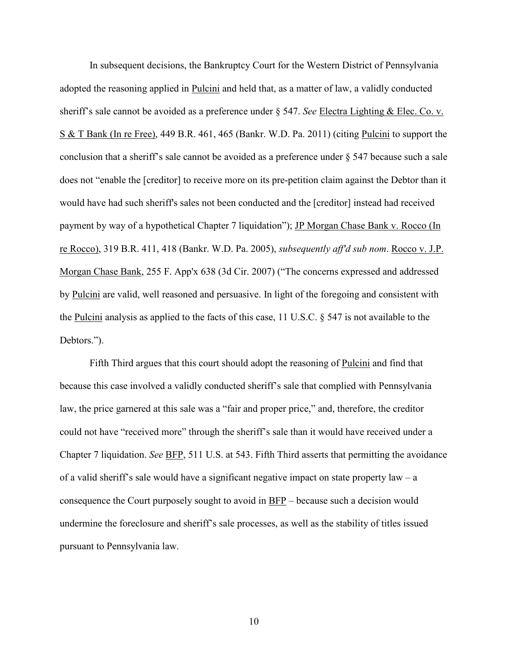In subsequent decisions, the Bankruptcy Court for the Western District of Pennsylvania adopted the reasoning applied in Pulcini and held that, as a matter of law, a validly conducted sheriff's sale cannot be avoided as a preference under § 547. *See* Electra Lighting & Elec. Co. v. S & T Bank (In re Free), 449 B.R. 461, 465 (Bankr. W.D. Pa. 2011) (citing Pulcini to support the conclusion that a sheriff's sale cannot be avoided as a preference under § 547 because such a sale does not "enable the [creditor] to receive more on its pre-petition claim against the Debtor than it would have had such sheriff's sales not been conducted and the [creditor] instead had received payment by way of a hypothetical Chapter 7 liquidation"); JP Morgan Chase Bank v. Rocco (In re Rocco), 319 B.R. 411, 418 (Bankr. W.D. Pa. 2005), *subsequently aff'd sub nom*. Rocco v. J.P. Morgan Chase Bank, 255 F. App'x 638 (3d Cir. 2007) ("The concerns expressed and addressed by Pulcini are valid, well reasoned and persuasive. In light of the foregoing and consistent with the Pulcini analysis as applied to the facts of this case, 11 U.S.C. § 547 is not available to the Debtors.").

Fifth Third argues that this court should adopt the reasoning of Pulcini and find that because this case involved a validly conducted sheriff's sale that complied with Pennsylvania law, the price garnered at this sale was a "fair and proper price," and, therefore, the creditor could not have "received more" through the sheriff's sale than it would have received under a Chapter 7 liquidation. *See* BFP, 511 U.S. at 543. Fifth Third asserts that permitting the avoidance of a valid sheriff's sale would have a significant negative impact on state property law – a consequence the Court purposely sought to avoid in BFP – because such a decision would undermine the foreclosure and sheriff's sale processes, as well as the stability of titles issued pursuant to Pennsylvania law.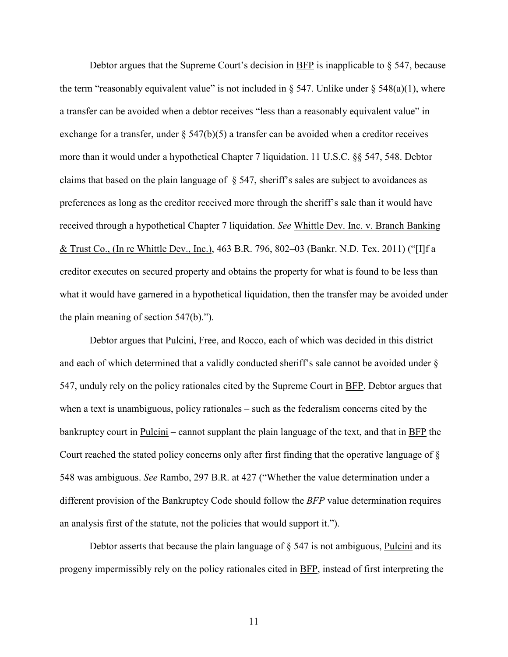Debtor argues that the Supreme Court's decision in BFP is inapplicable to  $\S$  547, because the term "reasonably equivalent value" is not included in  $\S$  547. Unlike under  $\S$  548(a)(1), where a transfer can be avoided when a debtor receives "less than a reasonably equivalent value" in exchange for a transfer, under  $\S$  547(b)(5) a transfer can be avoided when a creditor receives more than it would under a hypothetical Chapter 7 liquidation. 11 U.S.C. §§ 547, 548. Debtor claims that based on the plain language of § 547, sheriff's sales are subject to avoidances as preferences as long as the creditor received more through the sheriff's sale than it would have received through a hypothetical Chapter 7 liquidation. *See* Whittle Dev. Inc. v. Branch Banking & Trust Co., (In re Whittle Dev., Inc.), 463 B.R. 796, 802–03 (Bankr. N.D. Tex. 2011) ("[I]f a creditor executes on secured property and obtains the property for what is found to be less than what it would have garnered in a hypothetical liquidation, then the transfer may be avoided under the plain meaning of section 547(b).").

Debtor argues that Pulcini, Free, and Rocco, each of which was decided in this district and each of which determined that a validly conducted sheriff's sale cannot be avoided under § 547, unduly rely on the policy rationales cited by the Supreme Court in BFP. Debtor argues that when a text is unambiguous, policy rationales – such as the federalism concerns cited by the bankruptcy court in Pulcini – cannot supplant the plain language of the text, and that in BFP the Court reached the stated policy concerns only after first finding that the operative language of § 548 was ambiguous. *See* Rambo, 297 B.R. at 427 ("Whether the value determination under a different provision of the Bankruptcy Code should follow the *BFP* value determination requires an analysis first of the statute, not the policies that would support it.").

Debtor asserts that because the plain language of § 547 is not ambiguous, Pulcini and its progeny impermissibly rely on the policy rationales cited in BFP, instead of first interpreting the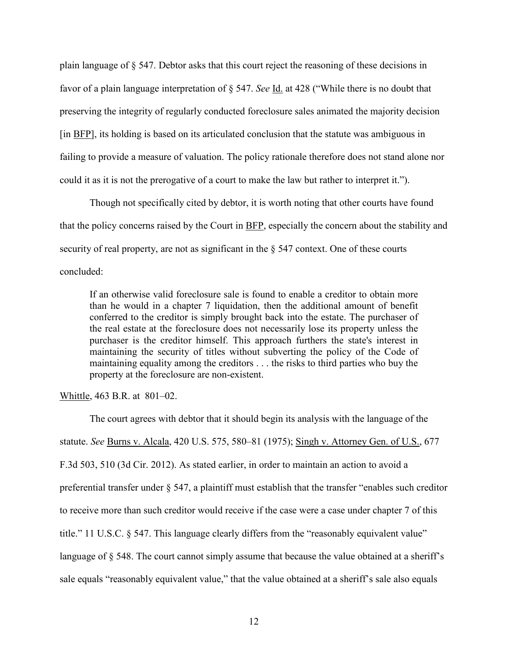plain language of § 547. Debtor asks that this court reject the reasoning of these decisions in favor of a plain language interpretation of § 547. *See* Id. at 428 ("While there is no doubt that preserving the integrity of regularly conducted foreclosure sales animated the majority decision [in BFP], its holding is based on its articulated conclusion that the statute was ambiguous in failing to provide a measure of valuation. The policy rationale therefore does not stand alone nor could it as it is not the prerogative of a court to make the law but rather to interpret it.").

Though not specifically cited by debtor, it is worth noting that other courts have found that the policy concerns raised by the Court in BFP, especially the concern about the stability and security of real property, are not as significant in the § 547 context. One of these courts concluded:

If an otherwise valid foreclosure sale is found to enable a creditor to obtain more than he would in a chapter 7 liquidation, then the additional amount of benefit conferred to the creditor is simply brought back into the estate. The purchaser of the real estate at the foreclosure does not necessarily lose its property unless the purchaser is the creditor himself. This approach furthers the state's interest in maintaining the security of titles without subverting the policy of the Code of maintaining equality among the creditors . . . the risks to third parties who buy the property at the foreclosure are non-existent.

Whittle, 463 B.R. at 801–02.

The court agrees with debtor that it should begin its analysis with the language of the statute. *See* Burns v. Alcala, 420 U.S. 575, 580–81 (1975); Singh v. Attorney Gen. of U.S., 677 F.3d 503, 510 (3d Cir. 2012). As stated earlier, in order to maintain an action to avoid a preferential transfer under § 547, a plaintiff must establish that the transfer "enables such creditor to receive more than such creditor would receive if the case were a case under chapter 7 of this title." 11 U.S.C. § 547. This language clearly differs from the "reasonably equivalent value" language of  $\S$  548. The court cannot simply assume that because the value obtained at a sheriff's sale equals "reasonably equivalent value," that the value obtained at a sheriff's sale also equals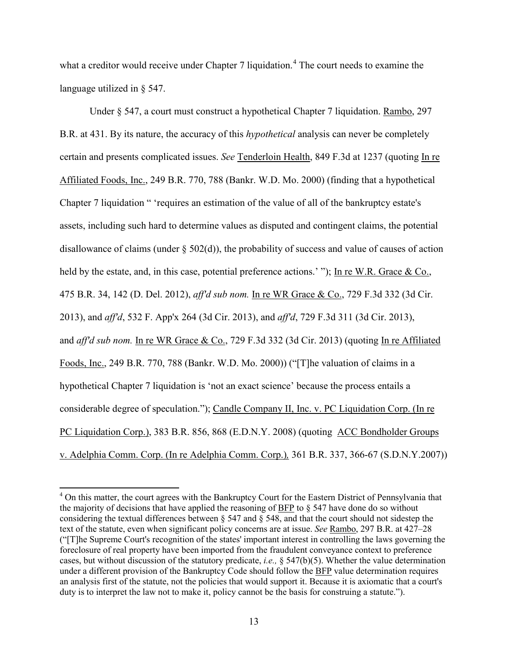what a creditor would receive under Chapter 7 liquidation.<sup>[4](#page-12-0)</sup> The court needs to examine the language utilized in § 547.

Under § 547, a court must construct a hypothetical Chapter 7 liquidation. Rambo, 297 B.R. at 431. By its nature, the accuracy of this *hypothetical* analysis can never be completely certain and presents complicated issues. *See* Tenderloin Health, 849 F.3d at 1237 (quoting In re Affiliated Foods, Inc., 249 B.R. 770, 788 (Bankr. W.D. Mo. 2000) (finding that a hypothetical Chapter 7 liquidation " 'requires an estimation of the value of all of the bankruptcy estate's assets, including such hard to determine values as disputed and contingent claims, the potential disallowance of claims (under  $\S 502(d)$ ), the probability of success and value of causes of action held by the estate, and, in this case, potential preference actions.'"); In re W.R. Grace & Co., 475 B.R. 34, 142 (D. Del. 2012), *aff'd sub nom.* In re WR Grace & Co., 729 F.3d 332 (3d Cir. 2013), and *aff'd*, 532 F. App'x 264 (3d Cir. 2013), and *aff'd*, 729 F.3d 311 (3d Cir. 2013), and *aff'd sub nom.* In re WR Grace & Co., 729 F.3d 332 (3d Cir. 2013) (quoting In re Affiliated Foods, Inc., 249 B.R. 770, 788 (Bankr. W.D. Mo. 2000)) ("[T]he valuation of claims in a hypothetical Chapter 7 liquidation is 'not an exact science' because the process entails a considerable degree of speculation."); Candle Company II, Inc. v. PC Liquidation Corp. (In re PC Liquidation Corp.), 383 B.R. 856, 868 (E.D.N.Y. 2008) (quoting ACC Bondholder Groups v. Adelphia Comm. Corp. (In re Adelphia Comm. Corp.)*,* 361 B.R. 337, 366-67 (S.D.N.Y.2007))

<span id="page-12-0"></span><sup>&</sup>lt;sup>4</sup> On this matter, the court agrees with the Bankruptcy Court for the Eastern District of Pennsylvania that the majority of decisions that have applied the reasoning of BFP to § 547 have done do so without considering the textual differences between § 547 and § 548, and that the court should not sidestep the text of the statute, even when significant policy concerns are at issue. *See* Rambo, 297 B.R. at 427–28 ("[T]he Supreme Court's recognition of the states' important interest in controlling the laws governing the foreclosure of real property have been imported from the fraudulent conveyance context to preference cases, but without discussion of the statutory predicate, *i.e.,* § 547(b)(5). Whether the value determination under a different provision of the Bankruptcy Code should follow the BFP value determination requires an analysis first of the statute, not the policies that would support it. Because it is axiomatic that a court's duty is to interpret the law not to make it, policy cannot be the basis for construing a statute.").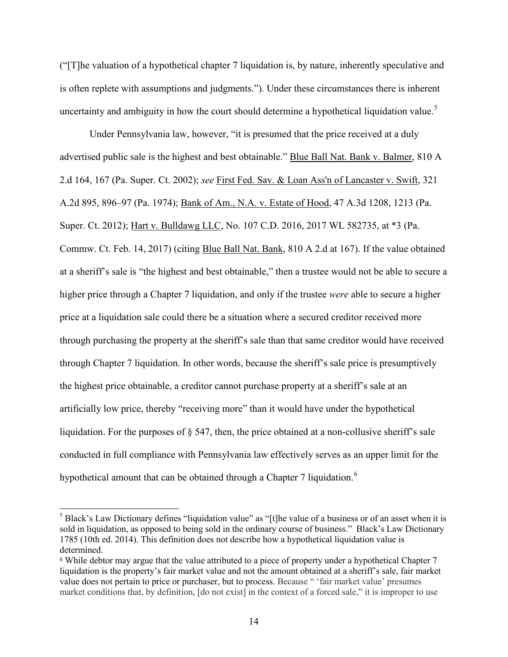("[T]he valuation of a hypothetical chapter 7 liquidation is, by nature, inherently speculative and is often replete with assumptions and judgments."). Under these circumstances there is inherent uncertainty and ambiguity in how the court should determine a hypothetical liquidation value.<sup>[5](#page-13-0)</sup>

Under Pennsylvania law, however, "it is presumed that the price received at a duly advertised public sale is the highest and best obtainable." Blue Ball Nat. Bank v. Balmer, 810 A 2.d 164, 167 (Pa. Super. Ct. 2002); *see* First Fed. Sav. & Loan Ass'n of Lancaster v. Swift, 321 A.2d 895, 896–97 (Pa. 1974); Bank of Am., N.A. v. Estate of Hood, 47 A.3d 1208, 1213 (Pa. Super. Ct. 2012); Hart v. Bulldawg LLC, No. 107 C.D. 2016, 2017 WL 582735, at \*3 (Pa. Commw. Ct. Feb. 14, 2017) (citing Blue Ball Nat. Bank, 810 A 2.d at 167). If the value obtained at a sheriff's sale is "the highest and best obtainable," then a trustee would not be able to secure a higher price through a Chapter 7 liquidation, and only if the trustee *were* able to secure a higher price at a liquidation sale could there be a situation where a secured creditor received more through purchasing the property at the sheriff's sale than that same creditor would have received through Chapter 7 liquidation. In other words, because the sheriff's sale price is presumptively the highest price obtainable, a creditor cannot purchase property at a sheriff's sale at an artificially low price, thereby "receiving more" than it would have under the hypothetical liquidation. For the purposes of § 547, then, the price obtained at a non-collusive sheriff's sale conducted in full compliance with Pennsylvania law effectively serves as an upper limit for the hypothetical amount that can be obtained through a Chapter 7 liquidation.<sup>[6](#page-13-1)</sup>

<span id="page-13-0"></span><sup>&</sup>lt;sup>5</sup> Black's Law Dictionary defines "liquidation value" as "[t]he value of a business or of an asset when it is sold in liquidation, as opposed to being sold in the ordinary course of business." Black's Law Dictionary 1785 (10th ed. 2014). This definition does not describe how a hypothetical liquidation value is determined.

<span id="page-13-1"></span><sup>6</sup> While debtor may argue that the value attributed to a piece of property under a hypothetical Chapter 7 liquidation is the property's fair market value and not the amount obtained at a sheriff's sale, fair market value does not pertain to price or purchaser, but to process. Because " 'fair market value' presumes market conditions that, by definition, [do not exist] in the context of a forced sale," it is improper to use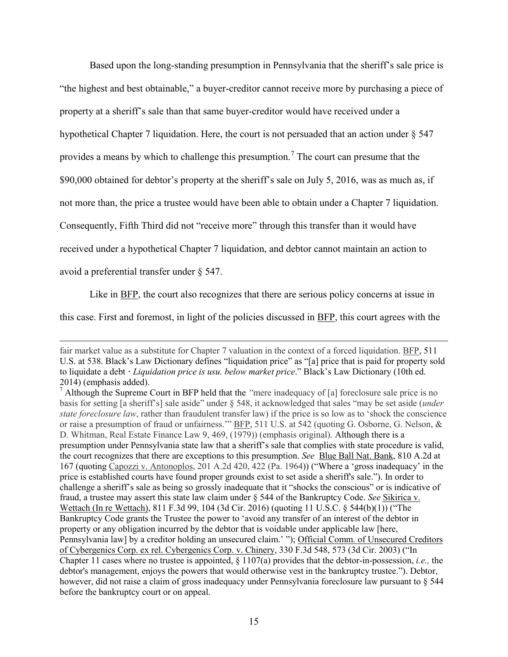Based upon the long-standing presumption in Pennsylvania that the sheriff's sale price is "the highest and best obtainable," a buyer-creditor cannot receive more by purchasing a piece of property at a sheriff's sale than that same buyer-creditor would have received under a hypothetical Chapter 7 liquidation. Here, the court is not persuaded that an action under § 547 provides a means by which to challenge this presumption.<sup>[7](#page-14-0)</sup> The court can presume that the \$90,000 obtained for debtor's property at the sheriff's sale on July 5, 2016, was as much as, if not more than, the price a trustee would have been able to obtain under a Chapter 7 liquidation. Consequently, Fifth Third did not "receive more" through this transfer than it would have

received under a hypothetical Chapter 7 liquidation, and debtor cannot maintain an action to

avoid a preferential transfer under § 547.

Like in BFP, the court also recognizes that there are serious policy concerns at issue in

this case. First and foremost, in light of the policies discussed in BFP, this court agrees with the

l fair market value as a substitute for Chapter 7 valuation in the context of a forced liquidation. BFP, 511 U.S. at 538. Black's Law Dictionary defines "liquidation price" as "[a] price that is paid for property sold to liquidate a debt **·** *Liquidation price is usu. below market price*." Black's Law Dictionary (10th ed. 2014) (emphasis added).

<span id="page-14-0"></span><sup>7</sup> Although the Supreme Court in BFP held that the *"*mere inadequacy of [a] foreclosure sale price is no basis for setting [a sheriff's] sale aside" under § 548, it acknowledged that sales "may be set aside (*under state foreclosure law*, rather than fraudulent transfer law) if the price is so low as to 'shock the conscience or raise a presumption of fraud or unfairness.'" BFP, 511 U.S. at 542 (quoting G. Osborne, G. Nelson, & D. Whitman, Real Estate Finance Law 9, 469, (1979)) (emphasis original). Although there is a presumption under Pennsylvania state law that a sheriff's sale that complies with state procedure is valid, the court recognizes that there are exceptions to this presumption. *See* Blue Ball Nat. Bank, 810 A.2d at 167 (quoting Capozzi v. Antonoplos, 201 A.2d 420, 422 (Pa. 1964)) ("Where a 'gross inadequacy' in the price is established courts have found proper grounds exist to set aside a sheriff's sale."). In order to challenge a sheriff's sale as being so grossly inadequate that it "shocks the conscious" or is indicative of fraud, a trustee may assert this state law claim under § 544 of the Bankruptcy Code. *See* Sikirica v. Wettach (In re Wettach), 811 F.3d 99, 104 (3d Cir. 2016) (quoting 11 U.S.C. § 544(b)(1)) ("The Bankruptcy Code grants the Trustee the power to 'avoid any transfer of an interest of the debtor in property or any obligation incurred by the debtor that is voidable under applicable law [here, Pennsylvania law] by a creditor holding an unsecured claim.' "); Official Comm. of Unsecured Creditors of Cybergenics Corp. ex rel. Cybergenics Corp. v. Chinery, 330 F.3d 548, 573 (3d Cir. 2003) ("In Chapter 11 cases where no trustee is appointed, § 1107(a) provides that the debtor-in-possession, *i.e.,* the debtor's management, enjoys the powers that would otherwise vest in the bankruptcy trustee."). Debtor, however, did not raise a claim of gross inadequacy under Pennsylvania foreclosure law pursuant to § 544 before the bankruptcy court or on appeal.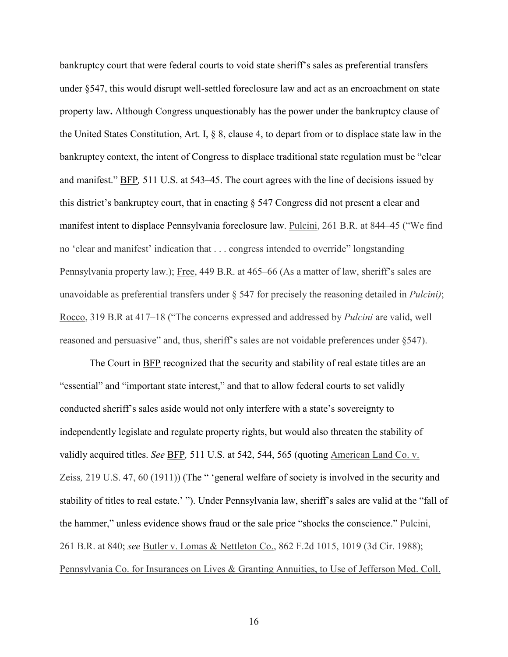bankruptcy court that were federal courts to void state sheriff's sales as preferential transfers under §547, this would disrupt well-settled foreclosure law and act as an encroachment on state property law**.** Although Congress unquestionably has the power under the bankruptcy clause of the United States Constitution, Art. I, § 8, clause 4, to depart from or to displace state law in the bankruptcy context, the intent of Congress to displace traditional state regulation must be "clear and manifest." BFP*,* 511 U.S. at 543–45. The court agrees with the line of decisions issued by this district's bankruptcy court, that in enacting § 547 Congress did not present a clear and manifest intent to displace Pennsylvania foreclosure law. Pulcini, 261 B.R. at 844–45 ("We find no 'clear and manifest' indication that . . . congress intended to override" longstanding Pennsylvania property law.); Free, 449 B.R. at 465–66 (As a matter of law, sheriff's sales are unavoidable as preferential transfers under § 547 for precisely the reasoning detailed in *Pulcini)*; Rocco, 319 B.R at 417–18 ("The concerns expressed and addressed by *Pulcini* are valid, well reasoned and persuasive" and, thus, sheriff's sales are not voidable preferences under §547).

The Court in BFP recognized that the security and stability of real estate titles are an "essential" and "important state interest," and that to allow federal courts to set validly conducted sheriff's sales aside would not only interfere with a state's sovereignty to independently legislate and regulate property rights, but would also threaten the stability of validly acquired titles. *See BFP*, 511 U.S. at 542, 544, 565 (quoting American Land Co. v. Zeiss*,* 219 U.S. 47, 60 (1911)) (The " 'general welfare of society is involved in the security and stability of titles to real estate.' "). Under Pennsylvania law, sheriff's sales are valid at the "fall of the hammer," unless evidence shows fraud or the sale price "shocks the conscience." Pulcini, 261 B.R. at 840; *see* Butler v. Lomas & Nettleton Co., 862 F.2d 1015, 1019 (3d Cir. 1988); Pennsylvania Co. for Insurances on Lives & Granting Annuities, to Use of Jefferson Med. Coll.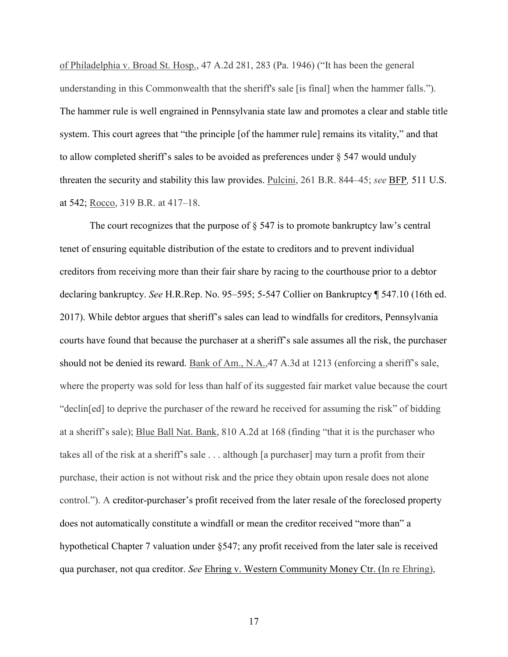of Philadelphia v. Broad St. Hosp., 47 A.2d 281, 283 (Pa. 1946) ("It has been the general understanding in this Commonwealth that the sheriff's sale [is final] when the hammer falls."). The hammer rule is well engrained in Pennsylvania state law and promotes a clear and stable title system. This court agrees that "the principle [of the hammer rule] remains its vitality," and that to allow completed sheriff's sales to be avoided as preferences under § 547 would unduly threaten the security and stability this law provides. Pulcini, 261 B.R. 844–45; *see* BFP*,* 511 U.S. at 542; Rocco, 319 B.R. at 417–18.

The court recognizes that the purpose of  $\S$  547 is to promote bankruptcy law's central tenet of ensuring equitable distribution of the estate to creditors and to prevent individual creditors from receiving more than their fair share by racing to the courthouse prior to a debtor declaring bankruptcy. *See* H.R.Rep. No. 95–595; 5-547 Collier on Bankruptcy ¶ 547.10 (16th ed. 2017). While debtor argues that sheriff's sales can lead to windfalls for creditors, Pennsylvania courts have found that because the purchaser at a sheriff's sale assumes all the risk, the purchaser should not be denied its reward. Bank of Am., N.A.,47 A.3d at 1213 (enforcing a sheriff's sale, where the property was sold for less than half of its suggested fair market value because the court "declin[ed] to deprive the purchaser of the reward he received for assuming the risk" of bidding at a sheriff's sale); Blue Ball Nat. Bank, 810 A.2d at 168 (finding "that it is the purchaser who takes all of the risk at a sheriff's sale . . . although [a purchaser] may turn a profit from their purchase, their action is not without risk and the price they obtain upon resale does not alone control."). A creditor-purchaser's profit received from the later resale of the foreclosed property does not automatically constitute a windfall or mean the creditor received "more than" a hypothetical Chapter 7 valuation under §547; any profit received from the later sale is received qua purchaser, not qua creditor. *See* Ehring v. Western Community Money Ctr. (In re Ehring),